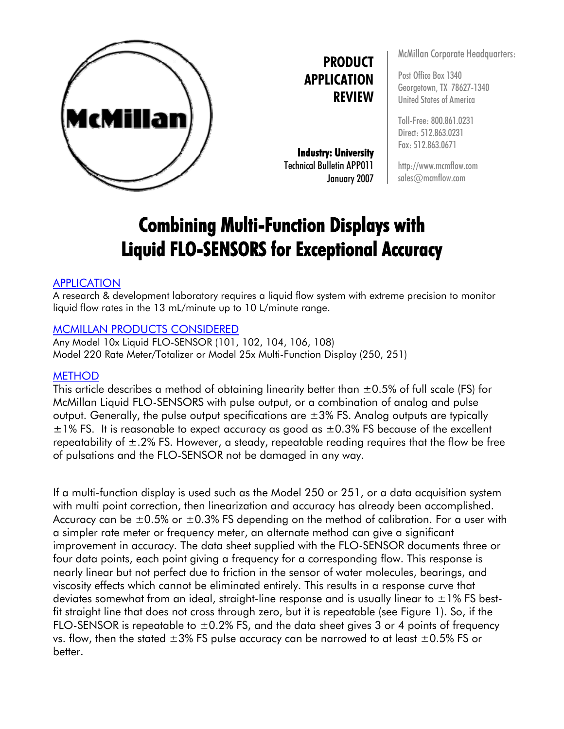

**PRODUCT APPLICATION REVIEW**

**Industry: University**  Technical Bulletin APP011 January 2007 McMillan Corporate Headquarters:

Post Office Box 1340 Georgetown, TX 78627-1340 United States of America

Toll-Free: 800.861.0231 Direct: 512.863.0231 Fax: 512.863.0671

http://www.mcmflow.com sales@mcmflow.com

# **Combining Multi-Function Displays with Liquid FLO-SENSORS for Exceptional Accuracy**

### APPLICATION

A research & development laboratory requires a liquid flow system with extreme precision to monitor liquid flow rates in the 13 mL/minute up to 10 L/minute range.

### MCMILLAN PRODUCTS CONSIDERED

Any Model 10x Liquid FLO-SENSOR (101, 102, 104, 106, 108) Model 220 Rate Meter/Totalizer or Model 25x Multi-Function Display (250, 251)

## **METHOD**

This article describes a method of obtaining linearity better than  $\pm 0.5\%$  of full scale (FS) for McMillan Liquid FLO-SENSORS with pulse output, or a combination of analog and pulse output. Generally, the pulse output specifications are  $\pm 3\%$  FS. Analog outputs are typically  $\pm$ 1% FS. It is reasonable to expect accuracy as good as  $\pm$ 0.3% FS because of the excellent repeatability of  $\pm$ .2% FS. However, a steady, repeatable reading requires that the flow be free of pulsations and the FLO-SENSOR not be damaged in any way.

If a multi-function display is used such as the Model 250 or 251, or a data acquisition system with multi point correction, then linearization and accuracy has already been accomplished. Accuracy can be  $\pm 0.5$ % or  $\pm 0.3$ % FS depending on the method of calibration. For a user with a simpler rate meter or frequency meter, an alternate method can give a significant improvement in accuracy. The data sheet supplied with the FLO-SENSOR documents three or four data points, each point giving a frequency for a corresponding flow. This response is nearly linear but not perfect due to friction in the sensor of water molecules, bearings, and viscosity effects which cannot be eliminated entirely. This results in a response curve that deviates somewhat from an ideal, straight-line response and is usually linear to  $\pm 1\%$  FS bestfit straight line that does not cross through zero, but it is repeatable (see Figure 1). So, if the FLO-SENSOR is repeatable to  $\pm 0.2\%$  FS, and the data sheet gives 3 or 4 points of frequency vs. flow, then the stated  $\pm 3\%$  FS pulse accuracy can be narrowed to at least  $\pm 0.5\%$  FS or better.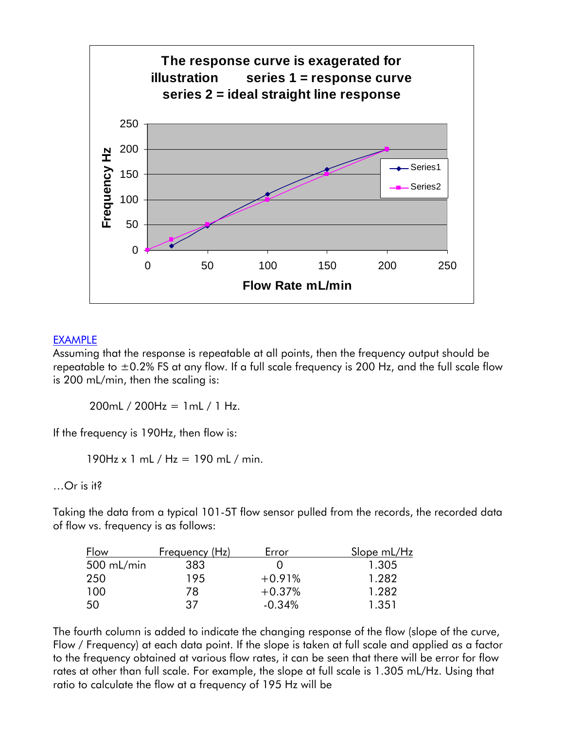

### EXAMPLE

Assuming that the response is repeatable at all points, then the frequency output should be repeatable to  $\pm$ 0.2% FS at any flow. If a full scale frequency is 200 Hz, and the full scale flow is 200 mL/min, then the scaling is:

200mL / 200Hz = 1mL / 1 Hz.

If the frequency is 190Hz, then flow is:

190Hz x 1 mL / Hz = 190 mL / min.

…Or is it?

Taking the data from a typical 101-5T flow sensor pulled from the records, the recorded data of flow vs. frequency is as follows:

| Flow         | Frequency (Hz) | Error    | Slope mL/Hz |
|--------------|----------------|----------|-------------|
| $500$ mL/min | 383            |          | 1.305       |
| 250          | 195            | $+0.91%$ | 1.282       |
| 100          | 78             | $+0.37%$ | 1.282       |
| 50           | 37             | $-0.34%$ | 1.351       |

The fourth column is added to indicate the changing response of the flow (slope of the curve, Flow / Frequency) at each data point. If the slope is taken at full scale and applied as a factor to the frequency obtained at various flow rates, it can be seen that there will be error for flow rates at other than full scale. For example, the slope at full scale is 1.305 mL/Hz. Using that ratio to calculate the flow at a frequency of 195 Hz will be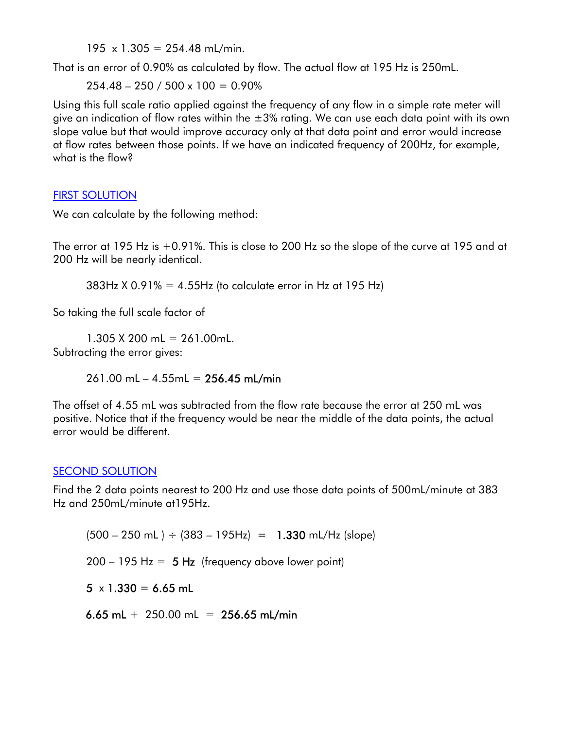$195 \times 1.305 = 254.48 \text{ mL/min}$ .

That is an error of 0.90% as calculated by flow. The actual flow at 195 Hz is 250mL.

 $254.48 - 250 / 500 \times 100 = 0.90\%$ 

Using this full scale ratio applied against the frequency of any flow in a simple rate meter will give an indication of flow rates within the  $\pm 3\%$  rating. We can use each data point with its own slope value but that would improve accuracy only at that data point and error would increase at flow rates between those points. If we have an indicated frequency of 200Hz, for example, what is the flow?

## FIRST SOLUTION

We can calculate by the following method:

The error at 195 Hz is +0.91%. This is close to 200 Hz so the slope of the curve at 195 and at 200 Hz will be nearly identical.

 $383Hz$  X 0.91% = 4.55Hz (to calculate error in Hz at 195 Hz)

So taking the full scale factor of

 $1.305$  X 200 mL = 261.00mL. Subtracting the error gives:

 $261.00$  mL  $- 4.55$ mL  $= 256.45$  mL/min

The offset of 4.55 mL was subtracted from the flow rate because the error at 250 mL was positive. Notice that if the frequency would be near the middle of the data points, the actual error would be different.

## SECOND SOLUTION

Find the 2 data points nearest to 200 Hz and use those data points of 500mL/minute at 383 Hz and 250mL/minute at195Hz.

 $(500 - 250 \text{ mL}) \div (383 - 195 \text{ Hz}) = 1.330 \text{ mL/Hz (slope)}$ 

 $200 - 195$  Hz =  $5$  Hz (frequency above lower point)

 $5 \times 1.330 = 6.65$  mL

6.65 mL  $+$  250.00 mL = 256.65 mL/min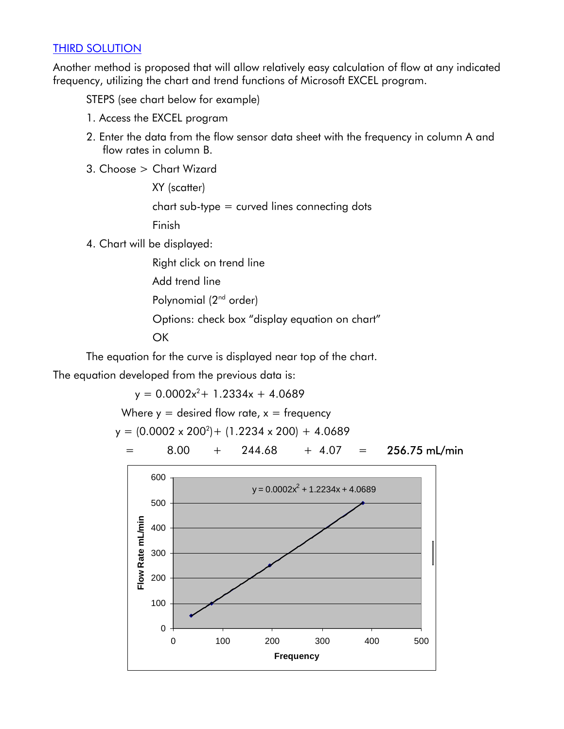## THIRD SOLUTION

Another method is proposed that will allow relatively easy calculation of flow at any indicated frequency, utilizing the chart and trend functions of Microsoft EXCEL program.

STEPS (see chart below for example)

- 1. Access the EXCEL program
- 2. Enter the data from the flow sensor data sheet with the frequency in column A and flow rates in column B.
- 3. Choose > Chart Wizard

 XY (scatter) chart sub-type = curved lines connecting dots Finish

4. Chart will be displayed:

 Right click on trend line Add trend line Polynomial (2<sup>nd</sup> order) Options: check box "display equation on chart" **OK** 

The equation for the curve is displayed near top of the chart.

The equation developed from the previous data is:

 $y = 0.0002x^2 + 1.2334x + 4.0689$ 

Where  $y =$  desired flow rate,  $x =$  frequency

$$
y = (0.0002 \times 200^2) + (1.2234 \times 200) + 4.0689
$$

$$
= 8.00 + 244.68 + 4.07 = 256.75 \text{ mL/min}
$$

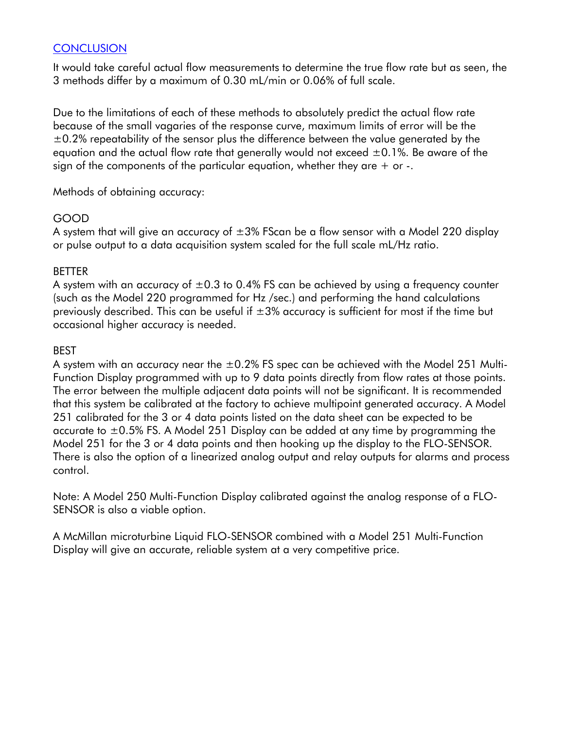## **CONCLUSION**

It would take careful actual flow measurements to determine the true flow rate but as seen, the 3 methods differ by a maximum of 0.30 mL/min or 0.06% of full scale.

Due to the limitations of each of these methods to absolutely predict the actual flow rate because of the small vagaries of the response curve, maximum limits of error will be the  $\pm$ 0.2% repeatability of the sensor plus the difference between the value generated by the equation and the actual flow rate that generally would not exceed  $\pm 0.1$ %. Be aware of the sign of the components of the particular equation, whether they are  $+$  or  $-$ .

Methods of obtaining accuracy:

### GOOD

A system that will give an accuracy of  $\pm 3\%$  FScan be a flow sensor with a Model 220 display or pulse output to a data acquisition system scaled for the full scale mL/Hz ratio.

### BETTER

A system with an accuracy of  $\pm 0.3$  to 0.4% FS can be achieved by using a frequency counter (such as the Model 220 programmed for Hz /sec.) and performing the hand calculations previously described. This can be useful if  $\pm 3$ % accuracy is sufficient for most if the time but occasional higher accuracy is needed.

### BEST

A system with an accuracy near the  $\pm 0.2\%$  FS spec can be achieved with the Model 251 Multi-Function Display programmed with up to 9 data points directly from flow rates at those points. The error between the multiple adjacent data points will not be significant. It is recommended that this system be calibrated at the factory to achieve multipoint generated accuracy. A Model 251 calibrated for the 3 or 4 data points listed on the data sheet can be expected to be accurate to  $\pm 0.5$ % FS. A Model 251 Display can be added at any time by programming the Model 251 for the 3 or 4 data points and then hooking up the display to the FLO-SENSOR. There is also the option of a linearized analog output and relay outputs for alarms and process control.

Note: A Model 250 Multi-Function Display calibrated against the analog response of a FLO-SENSOR is also a viable option.

A McMillan microturbine Liquid FLO-SENSOR combined with a Model 251 Multi-Function Display will give an accurate, reliable system at a very competitive price.